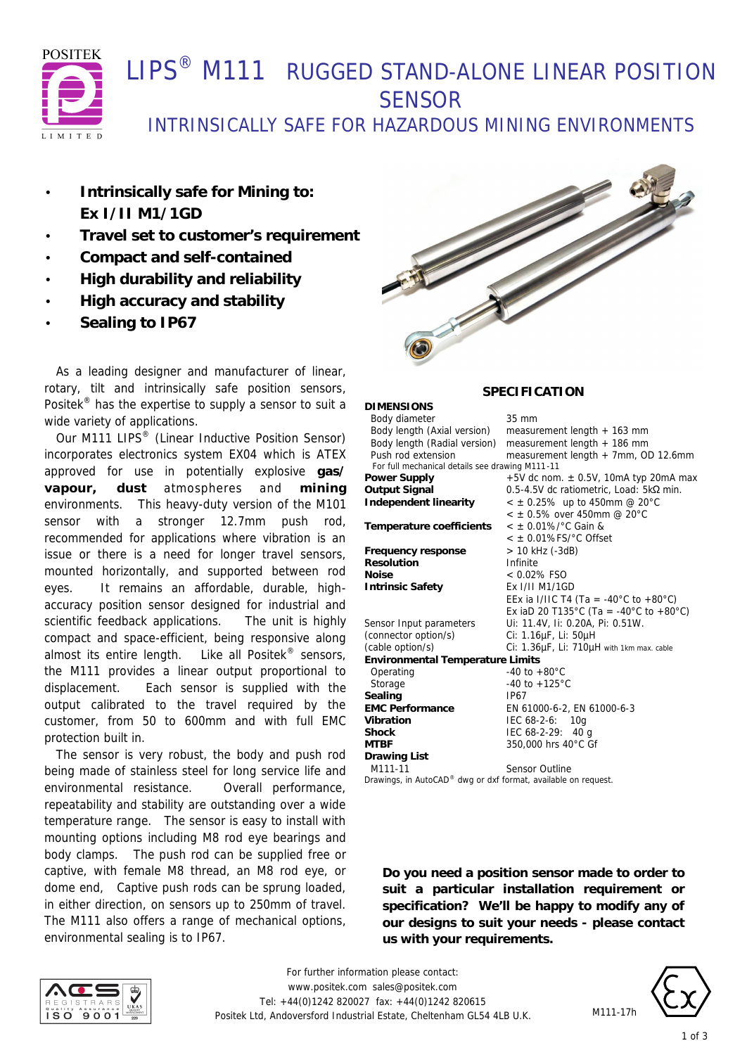

## LIPS<sup>®</sup> M111 RUGGED STAND-ALONE LINEAR POSITION **SENSOR**

INTRINSICALLY SAFE FOR HAZARDOUS MINING ENVIRONMENTS

- **Intrinsically safe for Mining to: Ex I/II M1/1GD**
- **Travel set to customer's requirement**
- **Compact and self-contained**
- **High durability and reliability**
- **High accuracy and stability**
- **Sealing to IP67**

 As a leading designer and manufacturer of linear, rotary, tilt and intrinsically safe position sensors, Positek<sup>®</sup> has the expertise to supply a sensor to suit a wide variety of applications.

Our M111 LIPS<sup>®</sup> (Linear Inductive Position Sensor) incorporates electronics system EX04 which is ATEX approved for use in potentially explosive **gas/ vapour, dust** atmospheres and **mining** environments. This heavy-duty version of the M101 sensor with a stronger 12.7mm push rod, recommended for applications where vibration is an issue or there is a need for longer travel sensors, mounted horizontally, and supported between rod eyes. It remains an affordable, durable, highaccuracy position sensor designed for industrial and scientific feedback applications. The unit is highly compact and space-efficient, being responsive along almost its entire length. Like all Positek<sup>®</sup> sensors, the M111 provides a linear output proportional to displacement. Each sensor is supplied with the output calibrated to the travel required by the customer, from 50 to 600mm and with full EMC protection built in.

 The sensor is very robust, the body and push rod being made of stainless steel for long service life and environmental resistance. Overall performance, repeatability and stability are outstanding over a wide temperature range. The sensor is easy to install with mounting options including M8 rod eye bearings and body clamps. The push rod can be supplied free or captive, with female M8 thread, an M8 rod eye, or dome end, Captive push rods can be sprung loaded, in either direction, on sensors up to 250mm of travel. The M111 also offers a range of mechanical options, environmental sealing is to IP67.



## **SPECIFICATION**

| <b>DIMENSIONS</b>                               |                                           |  |  |  |
|-------------------------------------------------|-------------------------------------------|--|--|--|
| Body diameter                                   | $35 \text{ mm}$                           |  |  |  |
| Body length (Axial version)                     | measurement length + 163 mm               |  |  |  |
| Body length (Radial version)                    | measurement length + 186 mm               |  |  |  |
| Push rod extension                              | measurement length + 7mm, OD 12.6mm       |  |  |  |
| For full mechanical details see drawing M111-11 |                                           |  |  |  |
| Power Supply                                    | +5V dc nom. $\pm$ 0.5V, 10mA typ 20mA max |  |  |  |
| Output Signal                                   | 0.5-4.5V dc ratiometric, Load: 5kΩ min.   |  |  |  |
| <b>Independent linearity</b>                    | $<$ $\pm$ 0.25% up to 450mm @ 20°C        |  |  |  |
|                                                 | $<$ $\pm$ 0.5% over 450mm @ 20°C          |  |  |  |
| Temperature coefficients                        | $<$ ± 0.01%/°C Gain &                     |  |  |  |
|                                                 | $<$ $\pm$ 0.01%FS/ $^{\circ}$ C Offset    |  |  |  |
| Frequency response                              | > 10 kHz (-3dB)                           |  |  |  |
| <b>Resolution</b>                               | Infinite                                  |  |  |  |
| Noise                                           | $< 0.02\%$ FSO                            |  |  |  |
| <b>Intrinsic Safety</b>                         | Ex I/II M1/1GD                            |  |  |  |
|                                                 | EEx ia I/IIC T4 (Ta = -40°C to +80°C)     |  |  |  |
|                                                 | Ex iaD 20 T135°C (Ta = -40°C to +80°C)    |  |  |  |
| Sensor Input parameters                         | Ui: 11.4V, Ii: 0.20A, Pi: 0.51W.          |  |  |  |
| (connector option/s)                            | Ci: 1.16µF, Li: 50µH                      |  |  |  |
| (cable option/s)                                | Ci: 1.36µF, Li: 710µH with 1km max. cable |  |  |  |
| <b>Environmental Temperature Limits</b>         |                                           |  |  |  |
| Operating                                       | $-40$ to $+80^{\circ}$ C                  |  |  |  |
| Storage                                         | $-40$ to $+125^{\circ}$ C                 |  |  |  |
| Sealing                                         | IP67                                      |  |  |  |
| <b>EMC Performance</b>                          | EN 61000-6-2, EN 61000-6-3                |  |  |  |
| Vibration                                       | IEC 68-2-6: 10g                           |  |  |  |
| Shock                                           | IEC 68-2-29: 40 g                         |  |  |  |
| MTBF                                            | 350,000 hrs 40°C Gf                       |  |  |  |
| Drawing List                                    |                                           |  |  |  |
| M111-11<br>$\cdot$ $ \cdot$ $\cdot$             | <b>Sensor Outline</b>                     |  |  |  |

*Drawings, in AutoCAD® dwg or dxf format, available on request.*

**Do you need a position sensor made to order to suit a particular installation requirement or specification? We'll be happy to modify any of our designs to suit your needs - please contact us with your requirements.**





M111-17h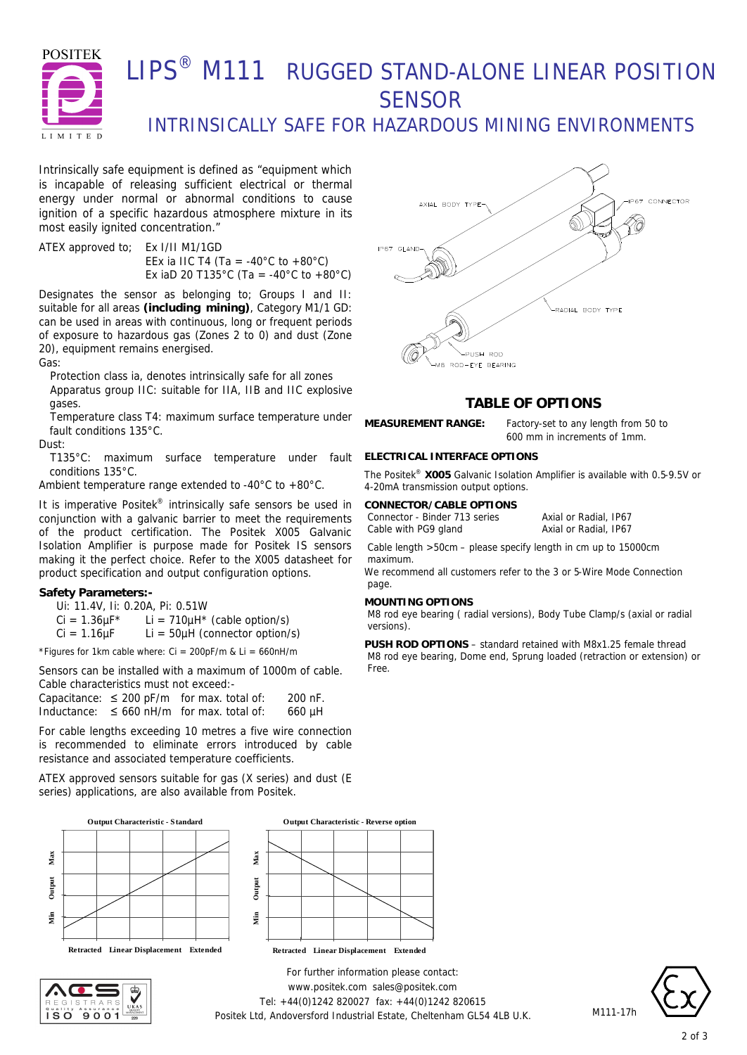

# LIPS® M111 RUGGED STAND-ALONE LINEAR POSITION **SENSOR**

INTRINSICALLY SAFE FOR HAZARDOUS MINING ENVIRONMENTS

Intrinsically safe equipment is defined as *"equipment which is incapable of releasing sufficient electrical or thermal energy under normal or abnormal conditions to cause ignition of a specific hazardous atmosphere mixture in its most easily ignited concentration."*

ATEX approved to; Ex I/II M1/1GD EEx ia IIC T4 (Ta = -40°C to +80°C) Ex iaD 20 T135°C (Ta = -40°C to +80°C)

Designates the sensor as belonging to; Groups I and II: suitable for all areas **(including mining)**, Category M1/1 GD: can be used in areas with continuous, long or frequent periods of exposure to hazardous gas (Zones 2 to 0) and dust (Zone 20), equipment remains energised.

Gas:

Protection class ia, denotes intrinsically safe for all zones Apparatus group IIC: suitable for IIA, IIB and IIC explosive gases.

Temperature class T4: maximum surface temperature under fault conditions 135°C.

Dust:

T135°C: maximum surface temperature under fault conditions 135°C.

Ambient temperature range extended to -40°C to +80°C.

It is imperative Positek® intrinsically safe sensors be used in conjunction with a galvanic barrier to meet the requirements of the product certification. The Positek X005 Galvanic Isolation Amplifier is purpose made for Positek IS sensors making it the perfect choice. Refer to the X005 datasheet for product specification and output configuration options.

### **Safety Parameters:-**

Ui: 11.4V, Ii: 0.20A, Pi: 0.51W

 $Ci = 1.36 \mu F^*$  Li = 710 $\mu$ H<sup>\*</sup> (cable option/s)

 $Ci = 1.16 \mu F$  Li = 50 $\mu$ H (connector option/s)

\*Figures for 1km cable where:  $Ci = 200pF/m$  &  $Li = 660nH/m$ 

Sensors can be installed with a maximum of 1000m of cable. Cable characteristics must not exceed:-

|             | Capacitance: $\leq 200$ pF/m for max. total of: | 200 nF. |
|-------------|-------------------------------------------------|---------|
| Inductance: | $\leq$ 660 nH/m for max, total of:              | 660 µH  |

For cable lengths exceeding 10 metres a five wire connection is recommended to eliminate errors introduced by cable resistance and associated temperature coefficients.

ATEX approved sensors suitable for gas (X series) and dust (E series) applications, are also available from Positek.











## **TABLE OF OPTIONS**

**MEASUREMENT RANGE:** Factory-set to any length from 50 to 600 mm in increments of 1mm.

### **ELECTRICAL INTERFACE OPTIONS**

The Positek® **X005** Galvanic Isolation Amplifier is available with 0.5-9.5V or 4-20mA transmission output options.

#### **CONNECTOR/CABLE OPTIONS**

Connector - Binder 713 series Axial or Radial, IP67 Cable with PG9 gland Axial or Radial, IP67

Cable length >50cm – please specify length in cm up to 15000cm maximum.

We recommend all customers refer to the 3 or 5-Wire Mode Connection page.

### **MOUNTING OPTIONS**

M8 rod eye bearing ( radial versions), Body Tube Clamp/s (axial or radial versions).

**PUSH ROD OPTIONS** – standard retained with M8x1.25 female thread M8 rod eye bearing, Dome end, Sprung loaded (retraction or extension) or Free.

*For further information please contact:* www.positek.com sales@positek.com Tel: +44(0)1242 820027 fax: +44(0)1242 820615 Positek Ltd, Andoversford Industrial Estate, Cheltenham GL54 4LB U.K.



M111-17h